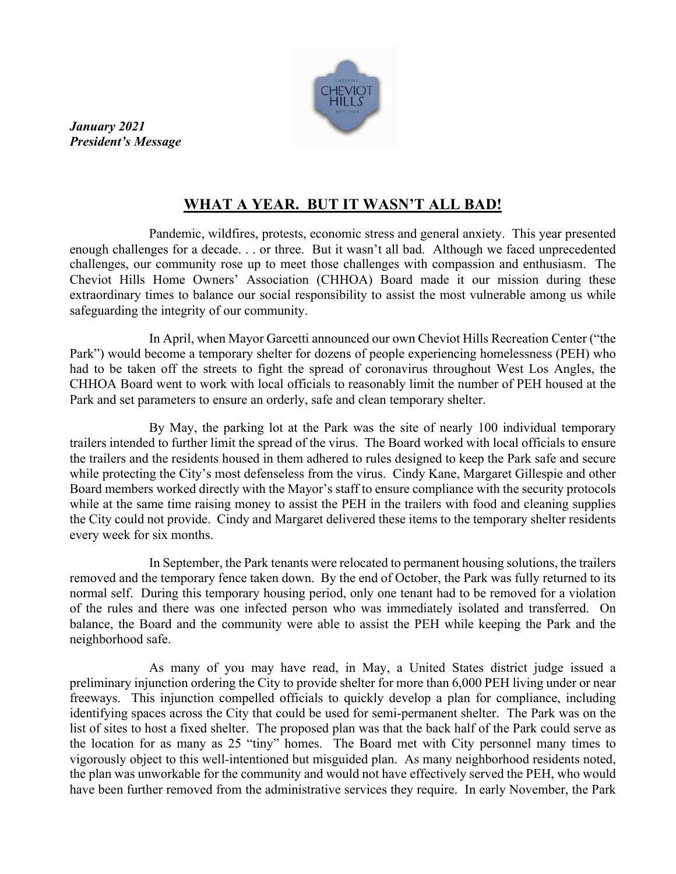

*January 2021 President's Message*

## **WHAT A YEAR. BUT IT WASN'T ALL BAD!**

Pandemic, wildfires, protests, economic stress and general anxiety. This year presented enough challenges for a decade. . . or three. But it wasn't all bad. Although we faced unprecedented challenges, our community rose up to meet those challenges with compassion and enthusiasm. The Cheviot Hills Home Owners' Association (CHHOA) Board made it our mission during these extraordinary times to balance our social responsibility to assist the most vulnerable among us while safeguarding the integrity of our community.

In April, when Mayor Garcetti announced our own Cheviot Hills Recreation Center ("the Park") would become a temporary shelter for dozens of people experiencing homelessness (PEH) who had to be taken off the streets to fight the spread of coronavirus throughout West Los Angles, the CHHOA Board went to work with local officials to reasonably limit the number of PEH housed at the Park and set parameters to ensure an orderly, safe and clean temporary shelter.

By May, the parking lot at the Park was the site of nearly 100 individual temporary trailers intended to further limit the spread of the virus. The Board worked with local officials to ensure the trailers and the residents housed in them adhered to rules designed to keep the Park safe and secure while protecting the City's most defenseless from the virus. Cindy Kane, Margaret Gillespie and other Board members worked directly with the Mayor's staff to ensure compliance with the security protocols while at the same time raising money to assist the PEH in the trailers with food and cleaning supplies the City could not provide. Cindy and Margaret delivered these items to the temporary shelter residents every week for six months.

In September, the Park tenants were relocated to permanent housing solutions, the trailers removed and the temporary fence taken down. By the end of October, the Park was fully returned to its normal self. During this temporary housing period, only one tenant had to be removed for a violation of the rules and there was one infected person who was immediately isolated and transferred. On balance, the Board and the community were able to assist the PEH while keeping the Park and the neighborhood safe.

As many of you may have read, in May, a United States district judge issued a preliminary injunction ordering the City to provide shelter for more than 6,000 PEH living under or near freeways. This injunction compelled officials to quickly develop a plan for compliance, including identifying spaces across the City that could be used for semi-permanent shelter. The Park was on the list of sites to host a fixed shelter. The proposed plan was that the back half of the Park could serve as the location for as many as 25 "tiny" homes. The Board met with City personnel many times to vigorously object to this well-intentioned but misguided plan. As many neighborhood residents noted, the plan was unworkable for the community and would not have effectively served the PEH, who would have been further removed from the administrative services they require. In early November, the Park